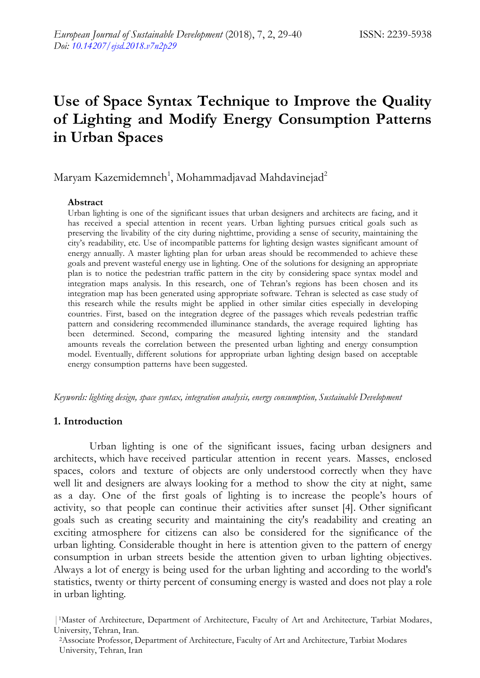# **Use of Space Syntax Technique to Improve the Quality of Lighting and Modify Energy Consumption Patterns in Urban Spaces**

# Maryam Kazemidemneh<sup>1</sup>, Mohammadjavad Mahdavinejad<sup>2</sup>

#### **Abstract**

Urban lighting is one of the significant issues that urban designers and architects are facing, and it has received a special attention in recent years. Urban lighting pursues critical goals such as preserving the livability of the city during nighttime, providing a sense of security, maintaining the city"s readability, etc. Use of incompatible patterns for lighting design wastes significant amount of energy annually. A master lighting plan for urban areas should be recommended to achieve these goals and prevent wasteful energy use in lighting. One of the solutions for designing an appropriate plan is to notice the pedestrian traffic pattern in the city by considering space syntax model and integration maps analysis. In this research, one of Tehran"s regions has been chosen and its integration map has been generated using appropriate software. Tehran is selected as case study of this research while the results might be applied in other similar cities especially in developing countries. First, based on the integration degree of the passages which reveals pedestrian traffic pattern and considering recommended illuminance standards, the average required lighting has been determined. Second, comparing the measured lighting intensity and the standard amounts reveals the correlation between the presented urban lighting and energy consumption model. Eventually, different solutions for appropriate urban lighting design based on acceptable energy consumption patterns have been suggested.

*Keywords: lighting design, space syntax, integration analysis, energy consumption, Sustainable Development*

#### **1. Introduction**

Urban lighting is one of the significant issues, facing urban designers and architects, which have received particular attention in recent years. Masses, enclosed spaces, colors and texture of objects are only understood correctly when they have well lit and designers are always looking for a method to show the city at night, same as a day. One of the first goals of lighting is to increase the people"s hours of activity, so that people can continue their activities after sunset [4]. Other significant goals such as creating security and maintaining the city's readability and creating an exciting atmosphere for citizens can also be considered for the significance of the urban lighting. Considerable thought in here is attention given to the pattern of energy consumption in urban streets beside the attention given to urban lighting objectives. Always a lot of energy is being used for the urban lighting and according to the world's statistics, twenty or thirty percent of consuming energy is wasted and does not play a role in urban lighting.

|1Master of Architecture, Department of Architecture, Faculty of Art and Architecture, Tarbiat Modares, University, Tehran, Iran.

<sup>2</sup>Associate Professor, Department of Architecture, Faculty of Art and Architecture, Tarbiat Modares University, Tehran, Iran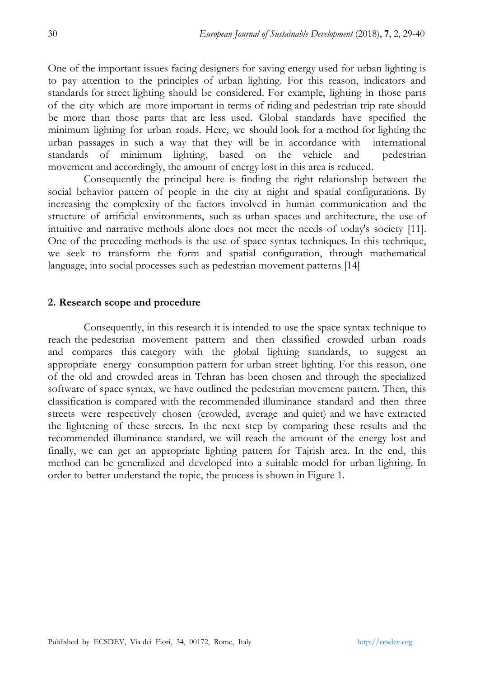One of the important issues facing designers for saving energy used for urban lighting is to pay attention to the principles of urban lighting. For this reason, indicators and standards for street lighting should be considered. For example, lighting in those parts of the city which are more important in terms of riding and pedestrian trip rate should be more than those parts that are less used. Global standards have specified the minimum lighting for urban roads. Here, we should look for a method for lighting the urban passages in such a way that they will be in accordance with international standards of minimum lighting, based on the vehicle and pedestrian movement and accordingly, the amount of energy lost in this area is reduced.

Consequently the principal here is finding the right relationship between the social behavior pattern of people in the city at night and spatial configurations. By increasing the complexity of the factors involved in human communication and the structure of artificial environments, such as urban spaces and architecture, the use of intuitive and narrative methods alone does not meet the needs of today's society [11]. One of the preceding methods is the use of space syntax techniques. In this technique, we seek to transform the form and spatial configuration, through mathematical language, into social processes such as pedestrian movement patterns [14]

#### **2. Research scope and procedure**

Consequently, in this research it is intended to use the space syntax technique to reach the pedestrian movement pattern and then classified crowded urban roads and compares this category with the global lighting standards, to suggest an appropriate energy consumption pattern for urban street lighting. For this reason, one of the old and crowded areas in Tehran has been chosen and through the specialized software of space syntax, we have outlined the pedestrian movement pattern. Then, this classification is compared with the recommended illuminance standard and then three streets were respectively chosen (crowded, average and quiet) and we have extracted the lightening of these streets. In the next step by comparing these results and the recommended illuminance standard, we will reach the amount of the energy lost and finally, we can get an appropriate lighting pattern for Tajrish area. In the end, this method can be generalized and developed into a suitable model for urban lighting. In order to better understand the topic, the process is shown in Figure 1.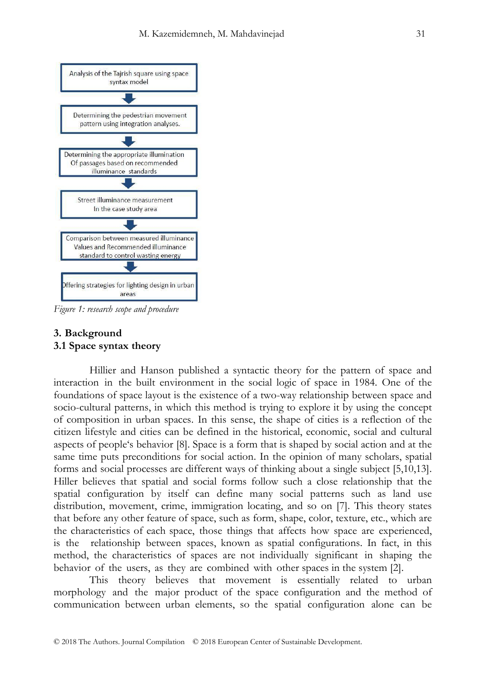

*Figure 1: research scope and procedure*

#### **3. Background 3.1 Space syntax theory**

Hillier and Hanson published a syntactic theory for the pattern of space and interaction in the built environment in the social logic of space in 1984. One of the foundations of space layout is the existence of a two-way relationship between space and socio-cultural patterns, in which this method is trying to explore it by using the concept of composition in urban spaces. In this sense, the shape of cities is a reflection of the citizen lifestyle and cities can be defined in the historical, economic, social and cultural aspects of people"s behavior [8]. Space is a form that is shaped by social action and at the same time puts preconditions for social action. In the opinion of many scholars, spatial forms and social processes are different ways of thinking about a single subject [5,10,13]. Hiller believes that spatial and social forms follow such a close relationship that the spatial configuration by itself can define many social patterns such as land use distribution, movement, crime, immigration locating, and so on [7]. This theory states that before any other feature of space, such as form, shape, color, texture, etc., which are the characteristics of each space, those things that affects how space are experienced, is the relationship between spaces, known as spatial configurations. In fact, in this method, the characteristics of spaces are not individually significant in shaping the behavior of the users, as they are combined with other spaces in the system [2].

This theory believes that movement is essentially related to urban morphology and the major product of the space configuration and the method of communication between urban elements, so the spatial configuration alone can be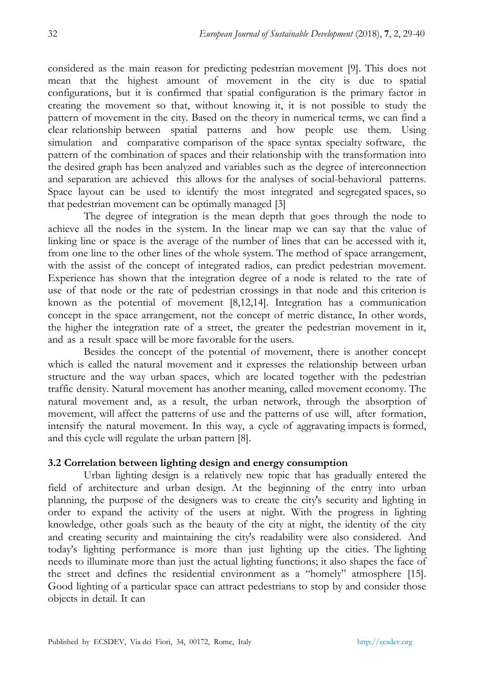considered as the main reason for predicting pedestrian movement [9]. This does not mean that the highest amount of movement in the city is due to spatial configurations, but it is confirmed that spatial configuration is the primary factor in creating the movement so that, without knowing it, it is not possible to study the pattern of movement in the city. Based on the theory in numerical terms, we can find a clear relationship between spatial patterns and how people use them. Using simulation and comparative comparison of the space syntax specialty software, the pattern of the combination of spaces and their relationship with the transformation into the desired graph has been analyzed and variables such as the degree of interconnection and separation are achieved this allows for the analyses of social-behavioral patterns. Space layout can be used to identify the most integrated and segregated spaces, so that pedestrian movement can be optimally managed [3]

The degree of integration is the mean depth that goes through the node to achieve all the nodes in the system. In the linear map we can say that the value of linking line or space is the average of the number of lines that can be accessed with it, from one line to the other lines of the whole system. The method of space arrangement, with the assist of the concept of integrated radios, can predict pedestrian movement. Experience has shown that the integration degree of a node is related to the rate of use of that node or the rate of pedestrian crossings in that node and this criterion is known as the potential of movement [8,12,14]. Integration has a communication concept in the space arrangement, not the concept of metric distance, In other words, the higher the integration rate of a street, the greater the pedestrian movement in it, and as a result space will be more favorable for the users.

Besides the concept of the potential of movement, there is another concept which is called the natural movement and it expresses the relationship between urban structure and the way urban spaces, which are located together with the pedestrian traffic density. Natural movement has another meaning, called movement economy. The natural movement and, as a result, the urban network, through the absorption of movement, will affect the patterns of use and the patterns of use will, after formation, intensify the natural movement. In this way, a cycle of aggravating impacts is formed, and this cycle will regulate the urban pattern [8].

#### **3.2 Correlation between lighting design and energy consumption**

Urban lighting design is a relatively new topic that has gradually entered the field of architecture and urban design. At the beginning of the entry into urban planning, the purpose of the designers was to create the city's security and lighting in order to expand the activity of the users at night. With the progress in lighting knowledge, other goals such as the beauty of the city at night, the identity of the city and creating security and maintaining the city's readability were also considered. And today"s lighting performance is more than just lighting up the cities. The lighting needs to illuminate more than just the actual lighting functions; it also shapes the face of the street and defines the residential environment as a "homely" atmosphere [15]. Good lighting of a particular space can attract pedestrians to stop by and consider those objects in detail. It can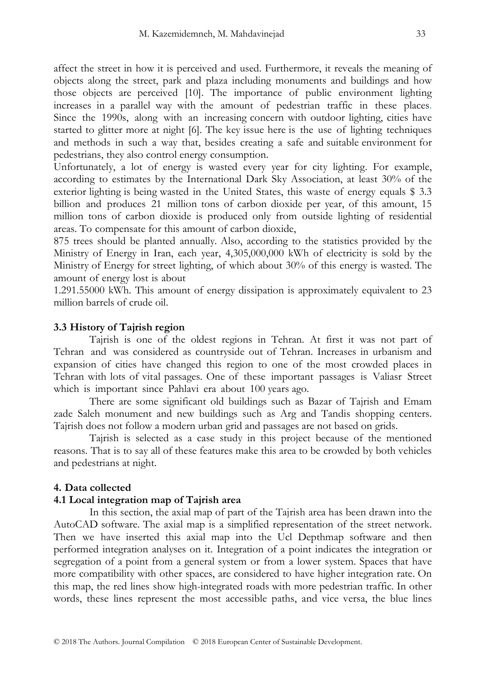affect the street in how it is perceived and used. Furthermore, it reveals the meaning of objects along the street, park and plaza including monuments and buildings and how those objects are perceived [10]. The importance of public environment lighting increases in a parallel way with the amount of pedestrian traffic in these places. Since the 1990s, along with an increasing concern with outdoor lighting, cities have started to glitter more at night [6]. The key issue here is the use of lighting techniques and methods in such a way that, besides creating a safe and suitable environment for pedestrians, they also control energy consumption.

Unfortunately, a lot of energy is wasted every year for city lighting. For example, according to estimates by the International Dark Sky Association, at least 30% of the exterior lighting is being wasted in the United States, this waste of energy equals \$ 3.3 billion and produces 21 million tons of carbon dioxide per year, of this amount, 15 million tons of carbon dioxide is produced only from outside lighting of residential areas. To compensate for this amount of carbon dioxide,

875 trees should be planted annually. Also, according to the statistics provided by the Ministry of Energy in Iran, each year, 4,305,000,000 kWh of electricity is sold by the Ministry of Energy for street lighting, of which about 30% of this energy is wasted. The amount of energy lost is about

1.291.55000 kWh. This amount of energy dissipation is approximately equivalent to 23 million barrels of crude oil.

#### **3.3 History of Tajrish region**

Tajrish is one of the oldest regions in Tehran. At first it was not part of Tehran and was considered as countryside out of Tehran. Increases in urbanism and expansion of cities have changed this region to one of the most crowded places in Tehran with lots of vital passages. One of these important passages is Valiasr Street which is important since Pahlavi era about 100 years ago.

There are some significant old buildings such as Bazar of Tajrish and Emam zade Saleh monument and new buildings such as Arg and Tandis shopping centers. Tajrish does not follow a modern urban grid and passages are not based on grids.

Tajrish is selected as a case study in this project because of the mentioned reasons. That is to say all of these features make this area to be crowded by both vehicles and pedestrians at night.

#### **4. Data collected**

#### **4.1 Local integration map of Tajrish area**

In this section, the axial map of part of the Tajrish area has been drawn into the AutoCAD software. The axial map is a simplified representation of the street network. Then we have inserted this axial map into the Ucl Depthmap software and then performed integration analyses on it. Integration of a point indicates the integration or segregation of a point from a general system or from a lower system. Spaces that have more compatibility with other spaces, are considered to have higher integration rate. On this map, the red lines show high-integrated roads with more pedestrian traffic. In other words, these lines represent the most accessible paths, and vice versa, the blue lines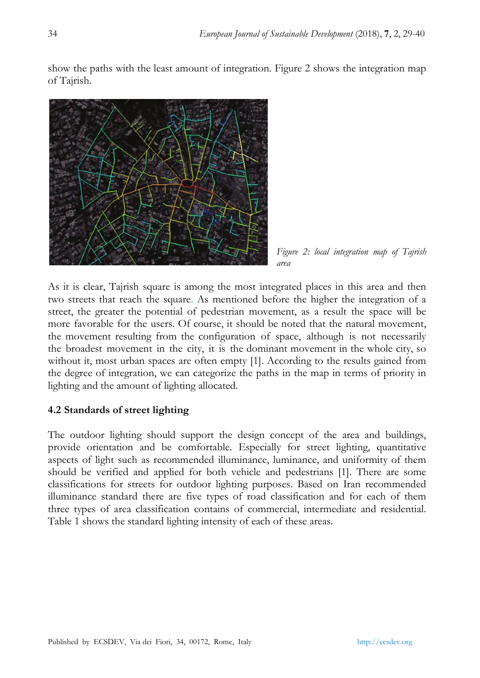show the paths with the least amount of integration. Figure 2 shows the integration map of Tajrish.



*Figure 2: local integration map of Tajrish area*

As it is clear, Tajrish square is among the most integrated places in this area and then two streets that reach the square. As mentioned before the higher the integration of a street, the greater the potential of pedestrian movement, as a result the space will be more favorable for the users. Of course, it should be noted that the natural movement, the movement resulting from the configuration of space, although is not necessarily the broadest movement in the city, it is the dominant movement in the whole city, so without it, most urban spaces are often empty [1]. According to the results gained from the degree of integration, we can categorize the paths in the map in terms of priority in lighting and the amount of lighting allocated.

## **4.2 Standards of street lighting**

The outdoor lighting should support the design concept of the area and buildings, provide orientation and be comfortable. Especially for street lighting, quantitative aspects of light such as recommended illuminance, luminance, and uniformity of them should be verified and applied for both vehicle and pedestrians [1]. There are some classifications for streets for outdoor lighting purposes. Based on Iran recommended illuminance standard there are five types of road classification and for each of them three types of area classification contains of commercial, intermediate and residential. Table 1 shows the standard lighting intensity of each of these areas.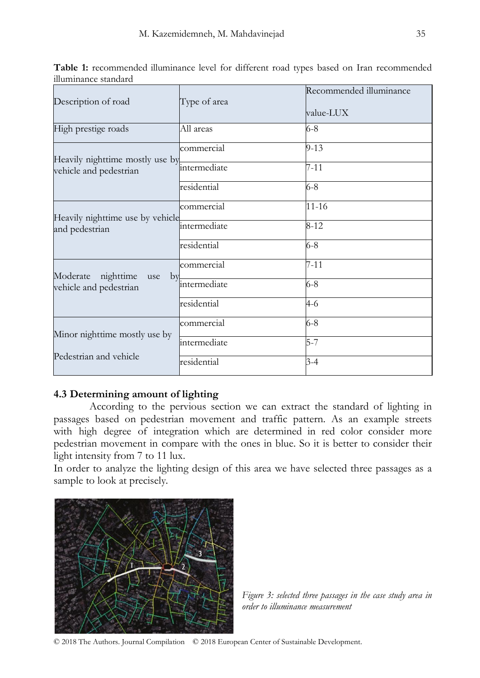| Description of road                                       | Type of area        | Recommended illuminance<br>value-LUX |
|-----------------------------------------------------------|---------------------|--------------------------------------|
| High prestige roads                                       | All areas           | $6 - 8$                              |
| Heavily nighttime mostly use by<br>vehicle and pedestrian | commercial          | $9-13$                               |
|                                                           | <i>intermediate</i> | $7 - 11$                             |
|                                                           | residential         | $6 - 8$                              |
| Heavily nighttime use by vehicle<br>and pedestrian        | commercial          | $11 - 16$                            |
|                                                           | intermediate        | $8 - 12$                             |
|                                                           | residential         | 6-8                                  |
| nighttime<br>Moderate<br>use<br>by                        | commercial          | $7 - 11$                             |
| vehicle and pedestrian                                    | intermediate        | $6 - 8$                              |
|                                                           | residential         | 4-6                                  |
|                                                           | commercial          | $6 - 8$                              |
| Minor nighttime mostly use by                             | intermediate        | $5 - 7$                              |
| Pedestrian and vehicle                                    | residential         | $3-4$                                |

**Table 1:** recommended illuminance level for different road types based on Iran recommended illuminance standard

#### **4.3 Determining amount of lighting**

According to the pervious section we can extract the standard of lighting in passages based on pedestrian movement and traffic pattern. As an example streets with high degree of integration which are determined in red color consider more pedestrian movement in compare with the ones in blue. So it is better to consider their light intensity from 7 to 11 lux.

In order to analyze the lighting design of this area we have selected three passages as a sample to look at precisely.



*Figure 3: selected three passages in the case study area in order to illuminance measurement*

© 2018 The Authors. Journal Compilation © 2018 European Center of Sustainable Development.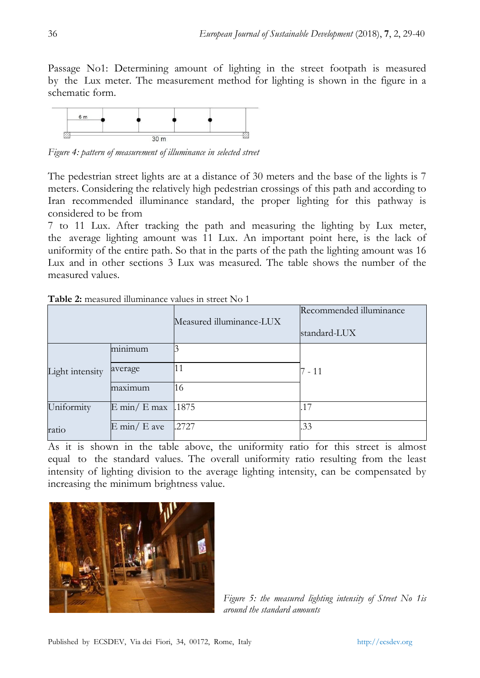Passage No1: Determining amount of lighting in the street footpath is measured by the Lux meter. The measurement method for lighting is shown in the figure in a schematic form.



*Figure 4: pattern of measurement of illuminance in selected street*

The pedestrian street lights are at a distance of 30 meters and the base of the lights is 7 meters. Considering the relatively high pedestrian crossings of this path and according to Iran recommended illuminance standard, the proper lighting for this pathway is considered to be from

7 to 11 Lux. After tracking the path and measuring the lighting by Lux meter, the average lighting amount was 11 Lux. An important point here, is the lack of uniformity of the entire path. So that in the parts of the path the lighting amount was 16 Lux and in other sections 3 Lux was measured. The table shows the number of the measured values.

|                 |                                       | Measured illuminance-LUX | Recommended illuminance<br>standard-LUX |
|-----------------|---------------------------------------|--------------------------|-----------------------------------------|
|                 | minimum                               |                          |                                         |
| Light intensity | average                               | 11                       | 7 - 11                                  |
|                 | maximum                               | 16                       |                                         |
| Uniformity      | $E \text{ min} / E \text{ max}$ .1875 |                          | 17                                      |
| ratio           | $E \text{ min} / E$ ave               | <b>.2727</b>             | .33                                     |

**Table 2:** measured illuminance values in street No 1

As it is shown in the table above, the uniformity ratio for this street is almost equal to the standard values. The overall uniformity ratio resulting from the least intensity of lighting division to the average lighting intensity, can be compensated by increasing the minimum brightness value.



*Figure 5: the measured lighting intensity of Street No 1is around the standard amounts*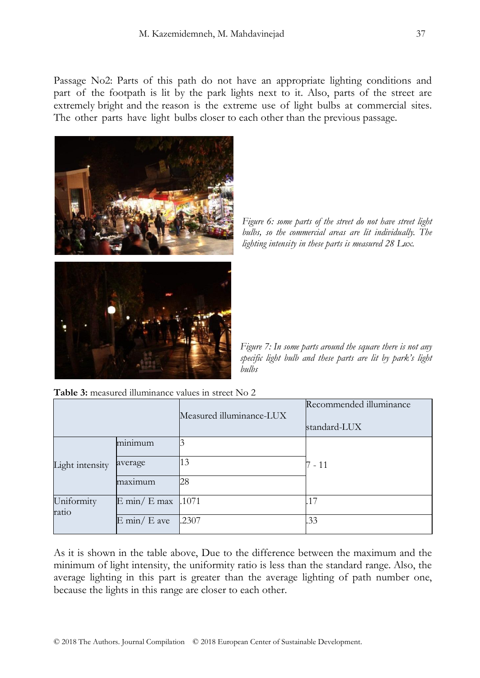Passage No2: Parts of this path do not have an appropriate lighting conditions and part of the footpath is lit by the park lights next to it. Also, parts of the street are extremely bright and the reason is the extreme use of light bulbs at commercial sites. The other parts have light bulbs closer to each other than the previous passage.



*Figure 6: some parts of the street do not have street light bulbs, so the commercial areas are lit individually. The lighting intensity in these parts is measured 28 Lux.*

*Figure 7: In some parts around the square there is not any specific light bulb and these parts are lit by park's light bulbs*

**Table 3:** measured illuminance values in street No 2

|                     |                               | Measured illuminance-LUX | Recommended illuminance<br>standard-LUX |
|---------------------|-------------------------------|--------------------------|-----------------------------------------|
| Light intensity     | minimum                       |                          |                                         |
|                     | average                       | 13                       | 7 - 11                                  |
|                     | maxımum                       | 28                       |                                         |
| Uniformity<br>ratio | $E \text{ min}/E \text{ max}$ | 1071                     |                                         |
|                     | $E \text{ min} / E$ ave       | .2307                    | .33                                     |

As it is shown in the table above, Due to the difference between the maximum and the minimum of light intensity, the uniformity ratio is less than the standard range. Also, the average lighting in this part is greater than the average lighting of path number one, because the lights in this range are closer to each other.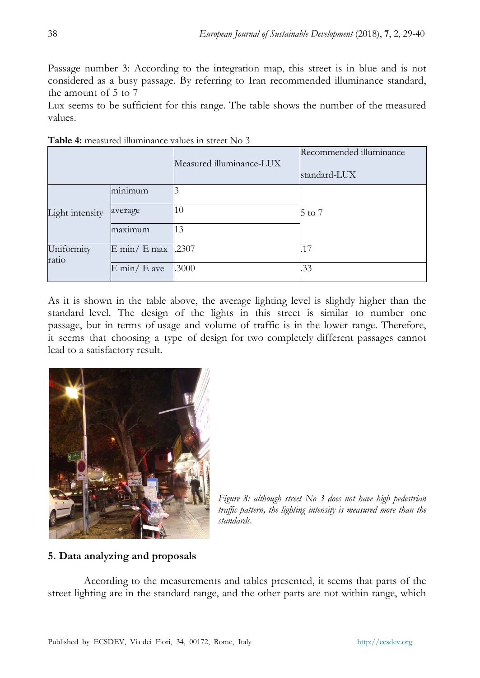Passage number 3: According to the integration map, this street is in blue and is not considered as a busy passage. By referring to Iran recommended illuminance standard, the amount of 5 to 7

Lux seems to be sufficient for this range. The table shows the number of the measured values.

|                     |                                 | Measured illuminance-LUX | Recommended illuminance<br>standard-LUX |
|---------------------|---------------------------------|--------------------------|-----------------------------------------|
|                     | minimum                         |                          |                                         |
| Light intensity     | average                         | 10                       | 5 to 7                                  |
|                     | maximum                         | 13                       |                                         |
| Uniformity<br>ratio | $E \text{ min} / E \text{ max}$ | 1.2307                   | .17                                     |
|                     | $E \text{ min}/E$ ave           | .3000                    | .33                                     |

**Table 4:** measured illuminance values in street No 3

As it is shown in the table above, the average lighting level is slightly higher than the standard level. The design of the lights in this street is similar to number one passage, but in terms of usage and volume of traffic is in the lower range. Therefore, it seems that choosing a type of design for two completely different passages cannot lead to a satisfactory result.



*Figure 8: although street No 3 does not have high pedestrian traffic pattern, the lighting intensity is measured more than the standards.*

## **5. Data analyzing and proposals**

According to the measurements and tables presented, it seems that parts of the street lighting are in the standard range, and the other parts are not within range, which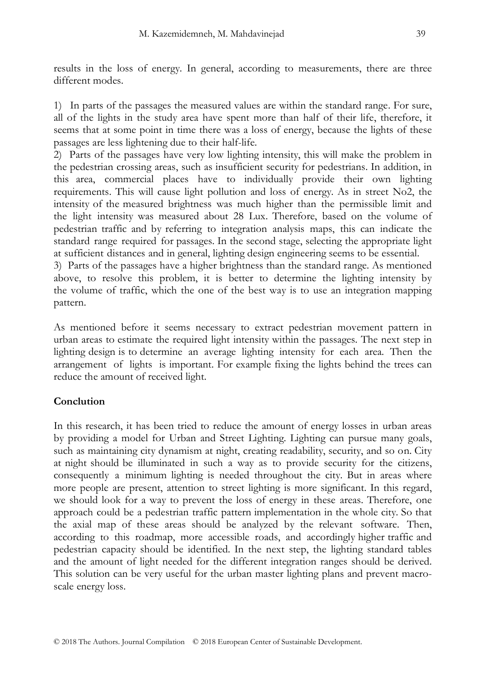results in the loss of energy. In general, according to measurements, there are three different modes.

1) In parts of the passages the measured values are within the standard range. For sure, all of the lights in the study area have spent more than half of their life, therefore, it seems that at some point in time there was a loss of energy, because the lights of these passages are less lightening due to their half-life.

2) Parts of the passages have very low lighting intensity, this will make the problem in the pedestrian crossing areas, such as insufficient security for pedestrians. In addition, in this area, commercial places have to individually provide their own lighting requirements. This will cause light pollution and loss of energy. As in street No2, the intensity of the measured brightness was much higher than the permissible limit and the light intensity was measured about 28 Lux. Therefore, based on the volume of pedestrian traffic and by referring to integration analysis maps, this can indicate the standard range required for passages. In the second stage, selecting the appropriate light at sufficient distances and in general, lighting design engineering seems to be essential.

3) Parts of the passages have a higher brightness than the standard range. As mentioned above, to resolve this problem, it is better to determine the lighting intensity by the volume of traffic, which the one of the best way is to use an integration mapping pattern.

As mentioned before it seems necessary to extract pedestrian movement pattern in urban areas to estimate the required light intensity within the passages. The next step in lighting design is to determine an average lighting intensity for each area. Then the arrangement of lights is important. For example fixing the lights behind the trees can reduce the amount of received light.

## **Conclution**

In this research, it has been tried to reduce the amount of energy losses in urban areas by providing a model for Urban and Street Lighting. Lighting can pursue many goals, such as maintaining city dynamism at night, creating readability, security, and so on. City at night should be illuminated in such a way as to provide security for the citizens, consequently a minimum lighting is needed throughout the city. But in areas where more people are present, attention to street lighting is more significant. In this regard, we should look for a way to prevent the loss of energy in these areas. Therefore, one approach could be a pedestrian traffic pattern implementation in the whole city. So that the axial map of these areas should be analyzed by the relevant software. Then, according to this roadmap, more accessible roads, and accordingly higher traffic and pedestrian capacity should be identified. In the next step, the lighting standard tables and the amount of light needed for the different integration ranges should be derived. This solution can be very useful for the urban master lighting plans and prevent macroscale energy loss.